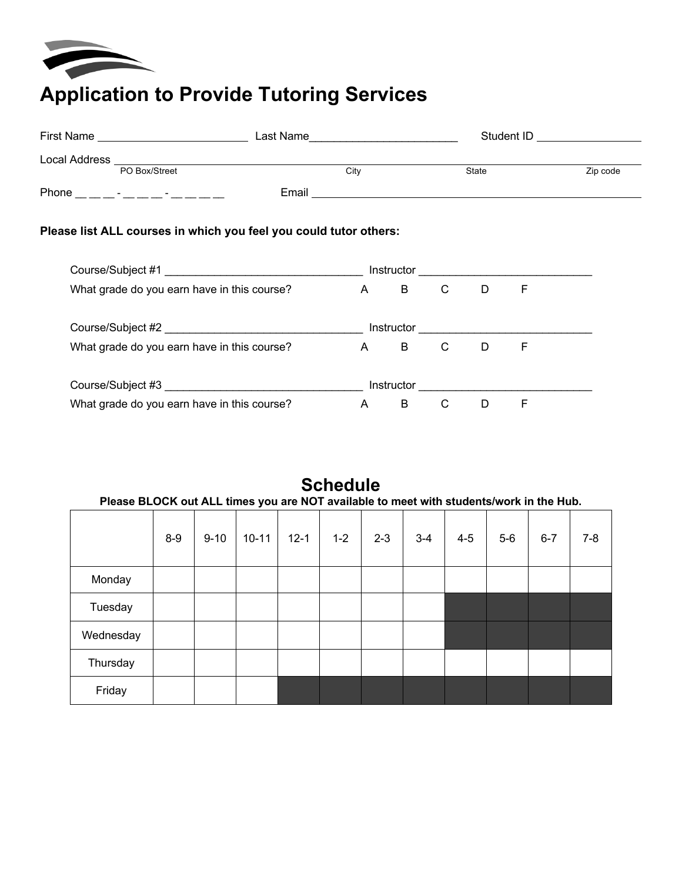

## **Application to Provide Tutoring Services**

| <b>First Name</b> |                                    | Last Name | Student ID   |          |  |  |
|-------------------|------------------------------------|-----------|--------------|----------|--|--|
| Local Address     |                                    |           |              |          |  |  |
|                   | PO Box/Street                      | City      | <b>State</b> | Zip code |  |  |
| Phone             | $\sim$<br>$\overline{\phantom{0}}$ | Email     |              |          |  |  |

## **Please list ALL courses in which you feel you could tutor others:**

| Course/Subject #1                           | Instructor |   |   |   |   |
|---------------------------------------------|------------|---|---|---|---|
| What grade do you earn have in this course? | A          | B | C | D | F |
| Course/Subject #2                           | Instructor |   |   |   |   |
| What grade do you earn have in this course? | A          | B | C | D | F |
| Course/Subject #3                           | Instructor |   |   |   |   |
| What grade do you earn have in this course? | Α          | B | C | D | E |

| Please BLOCK out ALL times you are NOT available to meet with students/work in the Hub. |       |          |           |          | <b>Schedule</b> |         |         |         |       |         |     |
|-----------------------------------------------------------------------------------------|-------|----------|-----------|----------|-----------------|---------|---------|---------|-------|---------|-----|
|                                                                                         | $8-9$ | $9 - 10$ | $10 - 11$ | $12 - 1$ | $1 - 2$         | $2 - 3$ | $3 - 4$ | $4 - 5$ | $5-6$ | $6 - 7$ | 7-8 |
| Monday                                                                                  |       |          |           |          |                 |         |         |         |       |         |     |
| Tuesday                                                                                 |       |          |           |          |                 |         |         |         |       |         |     |
| Wednesday                                                                               |       |          |           |          |                 |         |         |         |       |         |     |
| Thursday                                                                                |       |          |           |          |                 |         |         |         |       |         |     |
| Friday                                                                                  |       |          |           |          |                 |         |         |         |       |         |     |